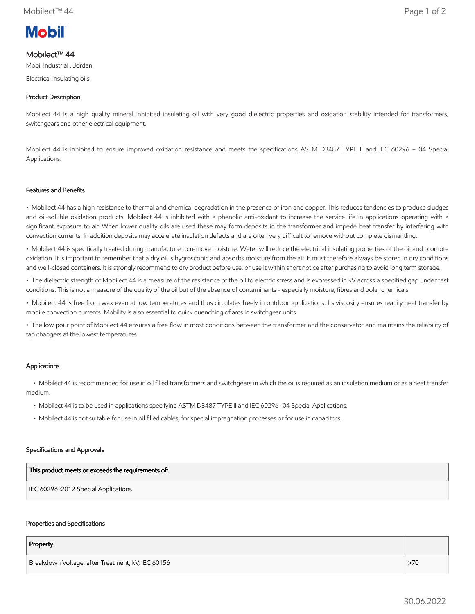# **Mobil**

# Mobilect™ 44

Mobil Industrial , Jordan

Electrical insulating oils

## Product Description

Mobilect 44 is a high quality mineral inhibited insulating oil with very good dielectric properties and oxidation stability intended for transformers, switchgears and other electrical equipment.

Mobilect 44 is inhibited to ensure improved oxidation resistance and meets the specifications ASTM D3487 TYPE II and IEC 60296 – 04 Special Applications.

#### Features and Benefits

• Mobilect 44 has a high resistance to thermal and chemical degradation in the presence of iron and copper. This reduces tendencies to produce sludges and oil-soluble oxidation products. Mobilect 44 is inhibited with a phenolic anti-oxidant to increase the service life in applications operating with a significant exposure to air. When lower quality oils are used these may form deposits in the transformer and impede heat transfer by interfering with convection currents. In addition deposits may accelerate insulation defects and are often very difficult to remove without complete dismantling.

• Mobilect 44 is specifically treated during manufacture to remove moisture. Water will reduce the electrical insulating properties of the oil and promote oxidation. It is important to remember that a dry oil is hygroscopic and absorbs moisture from the air. It must therefore always be stored in dry conditions and well-closed containers. It is strongly recommend to dry product before use, or use it within short notice after purchasing to avoid long term storage.

• The dielectric strength of Mobilect 44 is a measure of the resistance of the oil to electric stress and is expressed in kV across a specified gap under test conditions. This is not a measure of the quality of the oil but of the absence of contaminants - especially moisture, fibres and polar chemicals.

• Mobilect 44 is free from wax even at low temperatures and thus circulates freely in outdoor applications. Its viscosity ensures readily heat transfer by mobile convection currents. Mobility is also essential to quick quenching of arcs in switchgear units.

• The low pour point of Mobilect 44 ensures a free flow in most conditions between the transformer and the conservator and maintains the reliability of tap changers at the lowest temperatures.

### Applications

 • Mobilect 44 is recommended for use in oil filled transformers and switchgears in which the oil is required as an insulation medium or as a heat transfer medium.

- Mobilect 44 is to be used in applications specifying ASTM D3487 TYPE II and IEC 60296 -04 Special Applications.
- Mobilect 44 is not suitable for use in oil filled cables, for special impregnation processes or for use in capacitors.

#### Specifications and Approvals

| This product meets or exceeds the requirements of: |
|----------------------------------------------------|
| IEC 60296 :2012 Special Applications               |

#### Properties and Specifications

| Property                                          |     |
|---------------------------------------------------|-----|
| Breakdown Voltage, after Treatment, kV, IEC 60156 | >70 |